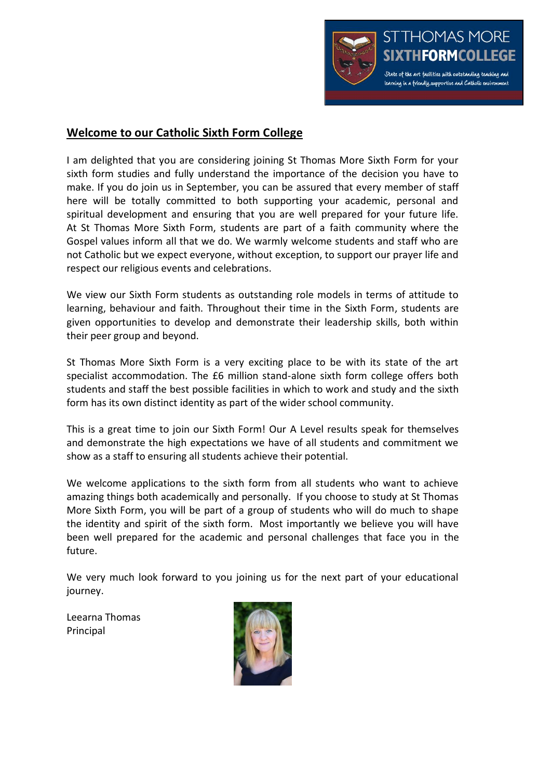

# **Welcome to our Catholic Sixth Form College**

I am delighted that you are considering joining St Thomas More Sixth Form for your sixth form studies and fully understand the importance of the decision you have to make. If you do join us in September, you can be assured that every member of staff here will be totally committed to both supporting your academic, personal and spiritual development and ensuring that you are well prepared for your future life. At St Thomas More Sixth Form, students are part of a faith community where the Gospel values inform all that we do. We warmly welcome students and staff who are not Catholic but we expect everyone, without exception, to support our prayer life and respect our religious events and celebrations.

We view our Sixth Form students as outstanding role models in terms of attitude to learning, behaviour and faith. Throughout their time in the Sixth Form, students are given opportunities to develop and demonstrate their leadership skills, both within their peer group and beyond.

St Thomas More Sixth Form is a very exciting place to be with its state of the art specialist accommodation. The £6 million stand-alone sixth form college offers both students and staff the best possible facilities in which to work and study and the sixth form has its own distinct identity as part of the wider school community.

This is a great time to join our Sixth Form! Our A Level results speak for themselves and demonstrate the high expectations we have of all students and commitment we show as a staff to ensuring all students achieve their potential.

We welcome applications to the sixth form from all students who want to achieve amazing things both academically and personally. If you choose to study at St Thomas More Sixth Form, you will be part of a group of students who will do much to shape the identity and spirit of the sixth form. Most importantly we believe you will have been well prepared for the academic and personal challenges that face you in the future.

We very much look forward to you joining us for the next part of your educational journey.

Leearna Thomas Principal

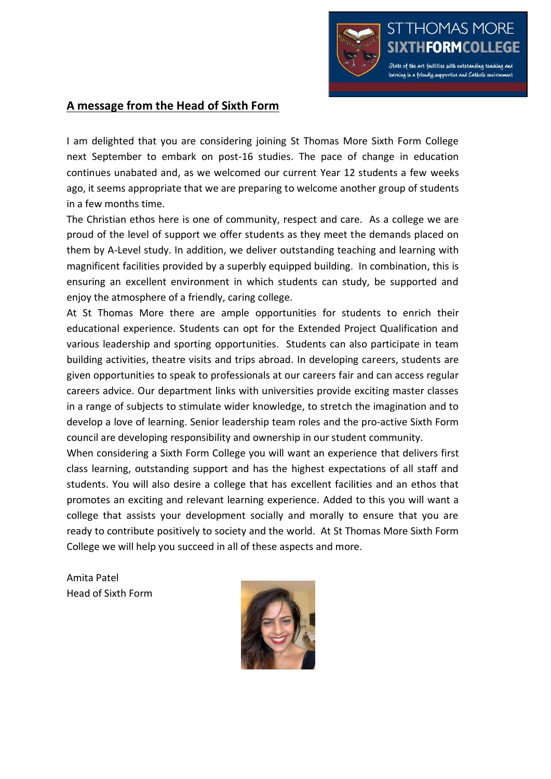

## **A message from the Head of Sixth Form**

I am delighted that you are considering joining St Thomas More Sixth Form College next September to embark on post-16 studies. The pace of change in education continues unabated and, as we welcomed our current Year 12 students a few weeks ago, it seems appropriate that we are preparing to welcome another group of students in a few months time.

The Christian ethos here is one of community, respect and care. As a college we are proud of the level of support we offer students as they meet the demands placed on them by A-Level study. In addition, we deliver outstanding teaching and learning with magnificent facilities provided by a superbly equipped building. In combination, this is ensuring an excellent environment in which students can study, be supported and enjoy the atmosphere of a friendly, caring college.

At St Thomas More there are ample opportunities for students to enrich their educational experience. Students can opt for the Extended Project Qualification and various leadership and sporting opportunities. Students can also participate in team building activities, theatre visits and trips abroad. In developing careers, students are given opportunities to speak to professionals at our careers fair and can access regular careers advice. Our department links with universities provide exciting master classes in a range of subjects to stimulate wider knowledge, to stretch the imagination and to develop a love of learning. Senior leadership team roles and the pro-active Sixth Form council are developing responsibility and ownership in our student community.

When considering a Sixth Form College you will want an experience that delivers first class learning, outstanding support and has the highest expectations of all staff and students. You will also desire a college that has excellent facilities and an ethos that promotes an exciting and relevant learning experience. Added to this you will want a college that assists your development socially and morally to ensure that you are ready to contribute positively to society and the world. At St Thomas More Sixth Form College we will help you succeed in all of these aspects and more.

Amita Patel Head of Sixth Form

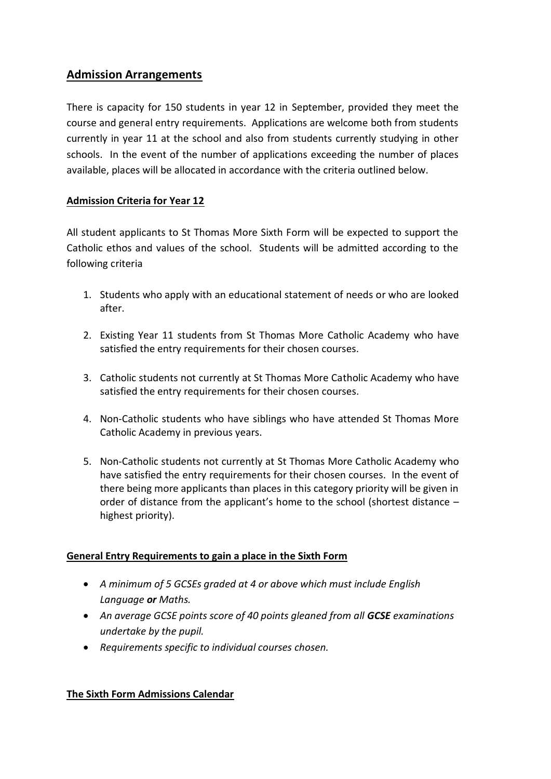# **Admission Arrangements**

There is capacity for 150 students in year 12 in September, provided they meet the course and general entry requirements. Applications are welcome both from students currently in year 11 at the school and also from students currently studying in other schools. In the event of the number of applications exceeding the number of places available, places will be allocated in accordance with the criteria outlined below.

### **Admission Criteria for Year 12**

All student applicants to St Thomas More Sixth Form will be expected to support the Catholic ethos and values of the school. Students will be admitted according to the following criteria

- 1. Students who apply with an educational statement of needs or who are looked after.
- 2. Existing Year 11 students from St Thomas More Catholic Academy who have satisfied the entry requirements for their chosen courses.
- 3. Catholic students not currently at St Thomas More Catholic Academy who have satisfied the entry requirements for their chosen courses.
- 4. Non-Catholic students who have siblings who have attended St Thomas More Catholic Academy in previous years.
- 5. Non-Catholic students not currently at St Thomas More Catholic Academy who have satisfied the entry requirements for their chosen courses. In the event of there being more applicants than places in this category priority will be given in order of distance from the applicant's home to the school (shortest distance – highest priority).

### **General Entry Requirements to gain a place in the Sixth Form**

- *A minimum of 5 GCSEs graded at 4 or above which must include English Language or Maths.*
- **•** An average GCSE points score of 40 points gleaned from all **GCSE** examinations *undertake by the pupil.*
- *Requirements specific to individual courses chosen.*

### **The Sixth Form Admissions Calendar**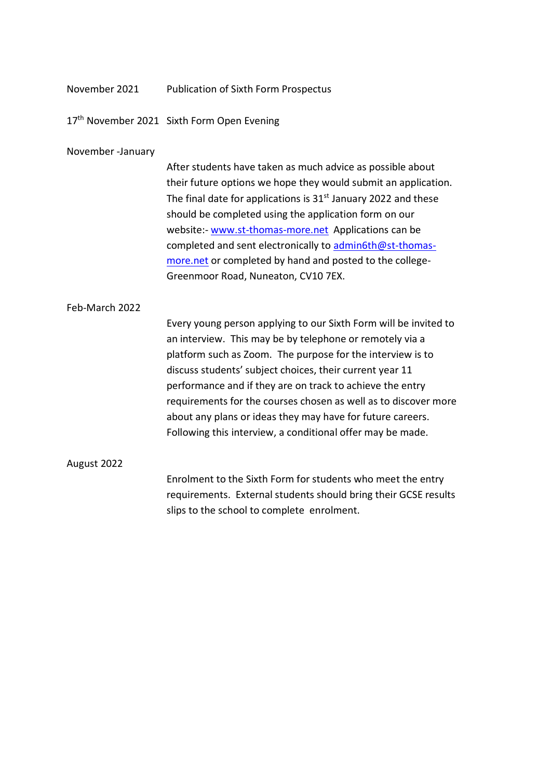| November 2021     | <b>Publication of Sixth Form Prospectus</b>                                                                                                                                                                                                                                                                                                                                                                                                                                                                        |
|-------------------|--------------------------------------------------------------------------------------------------------------------------------------------------------------------------------------------------------------------------------------------------------------------------------------------------------------------------------------------------------------------------------------------------------------------------------------------------------------------------------------------------------------------|
|                   | 17th November 2021 Sixth Form Open Evening                                                                                                                                                                                                                                                                                                                                                                                                                                                                         |
| November -January |                                                                                                                                                                                                                                                                                                                                                                                                                                                                                                                    |
|                   | After students have taken as much advice as possible about<br>their future options we hope they would submit an application.<br>The final date for applications is $31st$ January 2022 and these<br>should be completed using the application form on our<br>website:- www.st-thomas-more.net Applications can be<br>completed and sent electronically to admin6th@st-thomas-<br>more.net or completed by hand and posted to the college-<br>Greenmoor Road, Nuneaton, CV10 7EX.                                   |
| Feb-March 2022    |                                                                                                                                                                                                                                                                                                                                                                                                                                                                                                                    |
|                   | Every young person applying to our Sixth Form will be invited to<br>an interview. This may be by telephone or remotely via a<br>platform such as Zoom. The purpose for the interview is to<br>discuss students' subject choices, their current year 11<br>performance and if they are on track to achieve the entry<br>requirements for the courses chosen as well as to discover more<br>about any plans or ideas they may have for future careers.<br>Following this interview, a conditional offer may be made. |
| August 2022       |                                                                                                                                                                                                                                                                                                                                                                                                                                                                                                                    |

Enrolment to the Sixth Form for students who meet the entry requirements. External students should bring their GCSE results slips to the school to complete enrolment.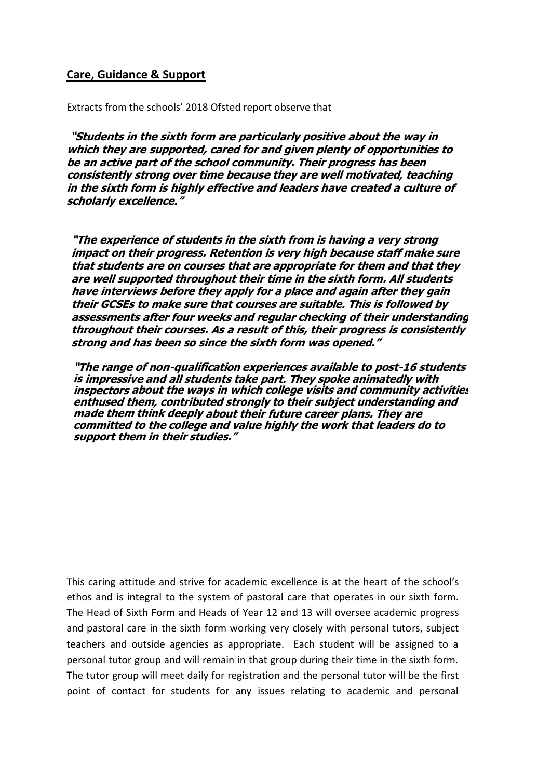### **Care, Guidance & Support**

Extracts from the schools' 2018 Ofsted report observe that

**"Students in the sixth form are particularly positive about the way in which they are supported, cared for and given plenty of opportunities to be an active part of the school community. Their progress has been consistently strong over time because they are well motivated, teaching in the sixth form is highly effective and leaders have created a culture of scholarly excellence."**

**"The experience of students in the sixth from is having a very strong impact on their progress. Retention is very high because staff make sure that students are on courses that are appropriate for them and that they are well supported throughout their time in the sixth form. All students have interviews before they apply for a place and again after they gain their GCSEs to make sure that courses are suitable. This is followed by assessments after four weeks and regular checking of their understanding throughout their courses. As a result of this, their progress is consistently strong and has been so since the sixth form was opened."**

**"The range of non-qualification experiences available to post-16 students is impressive and all students take part. They spoke animatedly with inspectors about the ways in which college visits and community activities enthused them, contributed strongly to their subject understanding and made them think deeply about their future career plans. They are committed to the college and value highly the work that leaders do to support them in their studies."**

This caring attitude and strive for academic excellence is at the heart of the school's ethos and is integral to the system of pastoral care that operates in our sixth form. The Head of Sixth Form and Heads of Year 12 and 13 will oversee academic progress and pastoral care in the sixth form working very closely with personal tutors, subject teachers and outside agencies as appropriate. Each student will be assigned to a personal tutor group and will remain in that group during their time in the sixth form. The tutor group will meet daily for registration and the personal tutor will be the first point of contact for students for any issues relating to academic and personal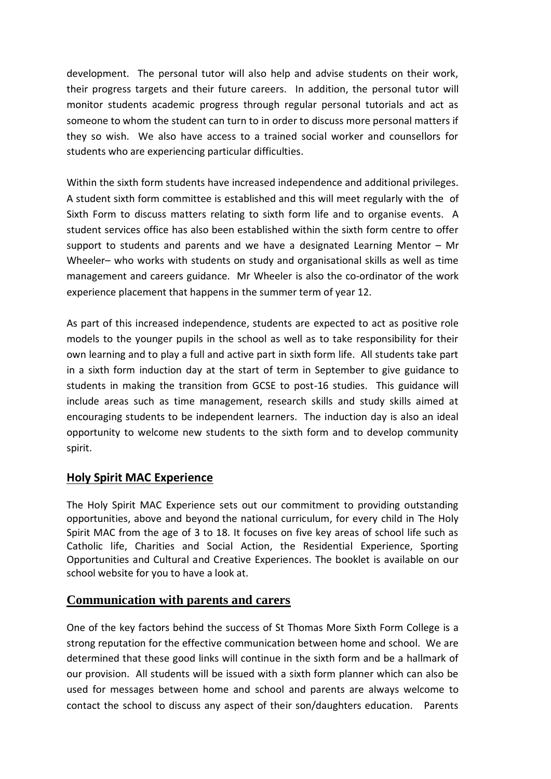development. The personal tutor will also help and advise students on their work, their progress targets and their future careers. In addition, the personal tutor will monitor students academic progress through regular personal tutorials and act as someone to whom the student can turn to in order to discuss more personal matters if they so wish. We also have access to a trained social worker and counsellors for students who are experiencing particular difficulties.

Within the sixth form students have increased independence and additional privileges. A student sixth form committee is established and this will meet regularly with the of Sixth Form to discuss matters relating to sixth form life and to organise events. A student services office has also been established within the sixth form centre to offer support to students and parents and we have a designated Learning Mentor – Mr Wheeler– who works with students on study and organisational skills as well as time management and careers guidance. Mr Wheeler is also the co-ordinator of the work experience placement that happens in the summer term of year 12.

As part of this increased independence, students are expected to act as positive role models to the younger pupils in the school as well as to take responsibility for their own learning and to play a full and active part in sixth form life. All students take part in a sixth form induction day at the start of term in September to give guidance to students in making the transition from GCSE to post-16 studies. This guidance will include areas such as time management, research skills and study skills aimed at encouraging students to be independent learners. The induction day is also an ideal opportunity to welcome new students to the sixth form and to develop community spirit.

### **Holy Spirit MAC Experience**

The Holy Spirit MAC Experience sets out our commitment to providing outstanding opportunities, above and beyond the national curriculum, for every child in The Holy Spirit MAC from the age of 3 to 18. It focuses on five key areas of school life such as Catholic life, Charities and Social Action, the Residential Experience, Sporting Opportunities and Cultural and Creative Experiences. The booklet is available on our school website for you to have a look at.

## **Communication with parents and carers**

One of the key factors behind the success of St Thomas More Sixth Form College is a strong reputation for the effective communication between home and school. We are determined that these good links will continue in the sixth form and be a hallmark of our provision. All students will be issued with a sixth form planner which can also be used for messages between home and school and parents are always welcome to contact the school to discuss any aspect of their son/daughters education. Parents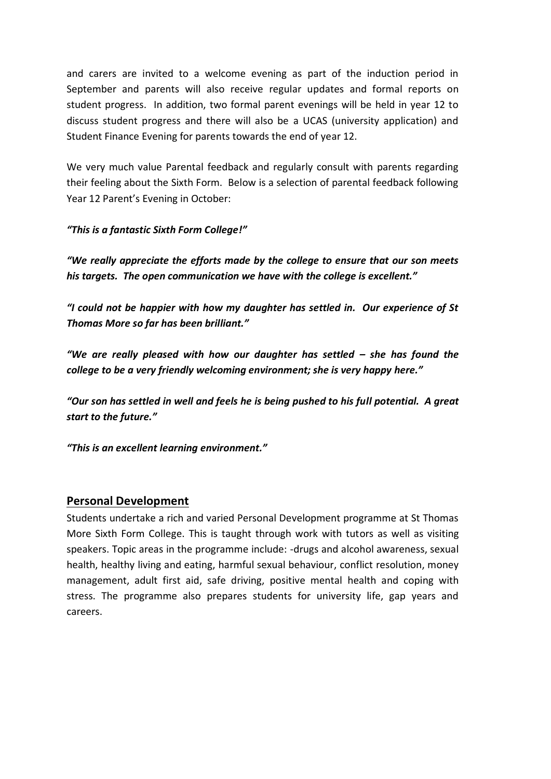and carers are invited to a welcome evening as part of the induction period in September and parents will also receive regular updates and formal reports on student progress. In addition, two formal parent evenings will be held in year 12 to discuss student progress and there will also be a UCAS (university application) and Student Finance Evening for parents towards the end of year 12.

We very much value Parental feedback and regularly consult with parents regarding their feeling about the Sixth Form. Below is a selection of parental feedback following Year 12 Parent's Evening in October:

*"This is a fantastic Sixth Form College!"*

*"We really appreciate the efforts made by the college to ensure that our son meets his targets. The open communication we have with the college is excellent."*

*"I could not be happier with how my daughter has settled in. Our experience of St Thomas More so far has been brilliant."*

*"We are really pleased with how our daughter has settled – she has found the college to be a very friendly welcoming environment; she is very happy here."*

*"Our son has settled in well and feels he is being pushed to his full potential. A great start to the future."*

*"This is an excellent learning environment."*

### **Personal Development**

Students undertake a rich and varied Personal Development programme at St Thomas More Sixth Form College. This is taught through work with tutors as well as visiting speakers. Topic areas in the programme include: -drugs and alcohol awareness, sexual health, healthy living and eating, harmful sexual behaviour, conflict resolution, money management, adult first aid, safe driving, positive mental health and coping with stress. The programme also prepares students for university life, gap years and careers.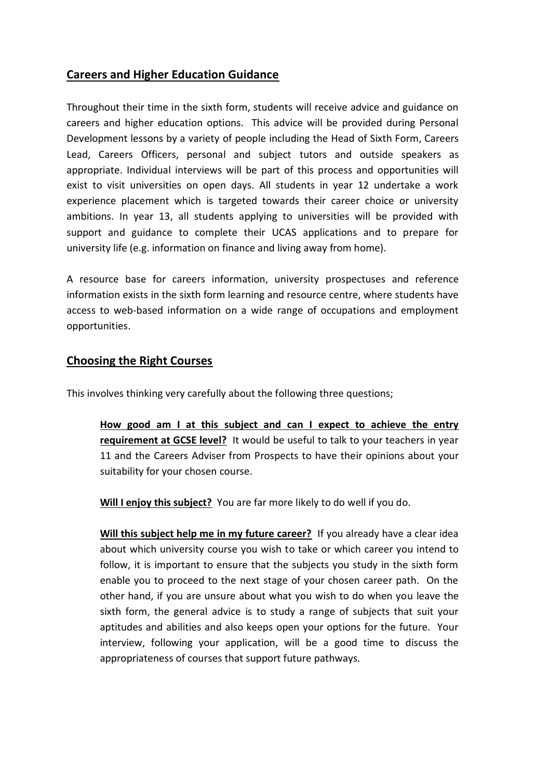# **Careers and Higher Education Guidance**

Throughout their time in the sixth form, students will receive advice and guidance on careers and higher education options. This advice will be provided during Personal Development lessons by a variety of people including the Head of Sixth Form, Careers Lead, Careers Officers, personal and subject tutors and outside speakers as appropriate. Individual interviews will be part of this process and opportunities will exist to visit universities on open days. All students in year 12 undertake a work experience placement which is targeted towards their career choice or university ambitions. In year 13, all students applying to universities will be provided with support and guidance to complete their UCAS applications and to prepare for university life (e.g. information on finance and living away from home).

A resource base for careers information, university prospectuses and reference information exists in the sixth form learning and resource centre, where students have access to web-based information on a wide range of occupations and employment opportunities.

## **Choosing the Right Courses**

This involves thinking very carefully about the following three questions;

**How good am I at this subject and can I expect to achieve the entry requirement at GCSE level?** It would be useful to talk to your teachers in year 11 and the Careers Adviser from Prospects to have their opinions about your suitability for your chosen course.

**Will I enjoy this subject?** You are far more likely to do well if you do.

**Will this subject help me in my future career?** If you already have a clear idea about which university course you wish to take or which career you intend to follow, it is important to ensure that the subjects you study in the sixth form enable you to proceed to the next stage of your chosen career path. On the other hand, if you are unsure about what you wish to do when you leave the sixth form, the general advice is to study a range of subjects that suit your aptitudes and abilities and also keeps open your options for the future. Your interview, following your application, will be a good time to discuss the appropriateness of courses that support future pathways.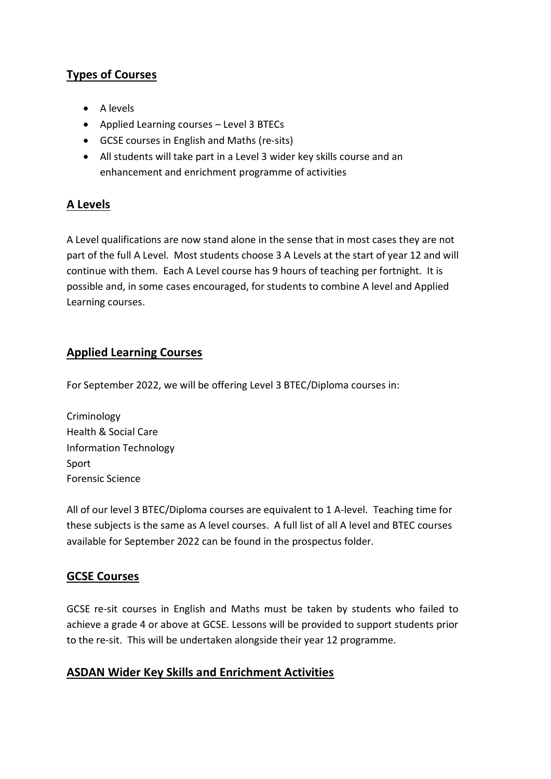# **Types of Courses**

- A levels
- Applied Learning courses Level 3 BTECs
- GCSE courses in English and Maths (re-sits)
- All students will take part in a Level 3 wider key skills course and an enhancement and enrichment programme of activities

# **A Levels**

A Level qualifications are now stand alone in the sense that in most cases they are not part of the full A Level. Most students choose 3 A Levels at the start of year 12 and will continue with them. Each A Level course has 9 hours of teaching per fortnight. It is possible and, in some cases encouraged, for students to combine A level and Applied Learning courses.

# **Applied Learning Courses**

For September 2022, we will be offering Level 3 BTEC/Diploma courses in:

Criminology Health & Social Care Information Technology Sport Forensic Science

All of our level 3 BTEC/Diploma courses are equivalent to 1 A-level. Teaching time for these subjects is the same as A level courses. A full list of all A level and BTEC courses available for September 2022 can be found in the prospectus folder.

# **GCSE Courses**

GCSE re-sit courses in English and Maths must be taken by students who failed to achieve a grade 4 or above at GCSE. Lessons will be provided to support students prior to the re-sit. This will be undertaken alongside their year 12 programme.

# **ASDAN Wider Key Skills and Enrichment Activities**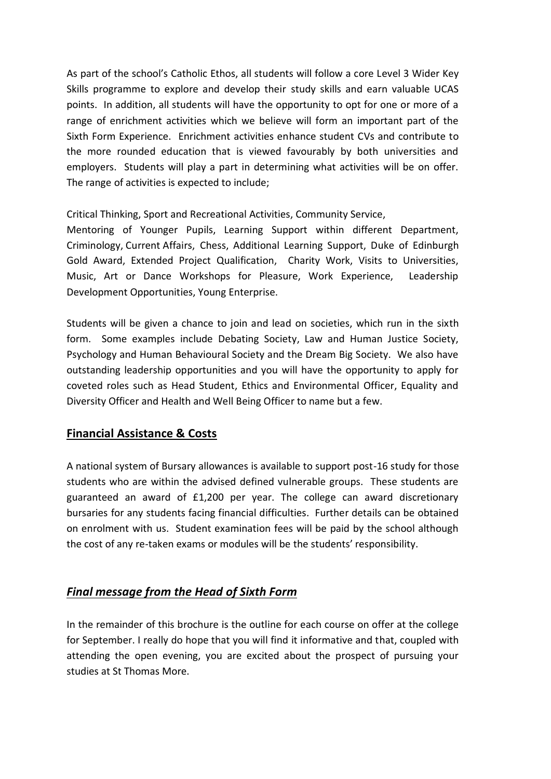As part of the school's Catholic Ethos, all students will follow a core Level 3 Wider Key Skills programme to explore and develop their study skills and earn valuable UCAS points. In addition, all students will have the opportunity to opt for one or more of a range of enrichment activities which we believe will form an important part of the Sixth Form Experience. Enrichment activities enhance student CVs and contribute to the more rounded education that is viewed favourably by both universities and employers. Students will play a part in determining what activities will be on offer. The range of activities is expected to include;

Critical Thinking, Sport and Recreational Activities, Community Service,

Mentoring of Younger Pupils, Learning Support within different Department, Criminology, Current Affairs, Chess, Additional Learning Support, Duke of Edinburgh Gold Award, Extended Project Qualification, Charity Work, Visits to Universities, Music, Art or Dance Workshops for Pleasure, Work Experience, Leadership Development Opportunities, Young Enterprise.

Students will be given a chance to join and lead on societies, which run in the sixth form. Some examples include Debating Society, Law and Human Justice Society, Psychology and Human Behavioural Society and the Dream Big Society. We also have outstanding leadership opportunities and you will have the opportunity to apply for coveted roles such as Head Student, Ethics and Environmental Officer, Equality and Diversity Officer and Health and Well Being Officer to name but a few.

## **Financial Assistance & Costs**

A national system of Bursary allowances is available to support post-16 study for those students who are within the advised defined vulnerable groups. These students are guaranteed an award of £1,200 per year. The college can award discretionary bursaries for any students facing financial difficulties. Further details can be obtained on enrolment with us. Student examination fees will be paid by the school although the cost of any re-taken exams or modules will be the students' responsibility.

## *Final message from the Head of Sixth Form*

In the remainder of this brochure is the outline for each course on offer at the college for September. I really do hope that you will find it informative and that, coupled with attending the open evening, you are excited about the prospect of pursuing your studies at St Thomas More.